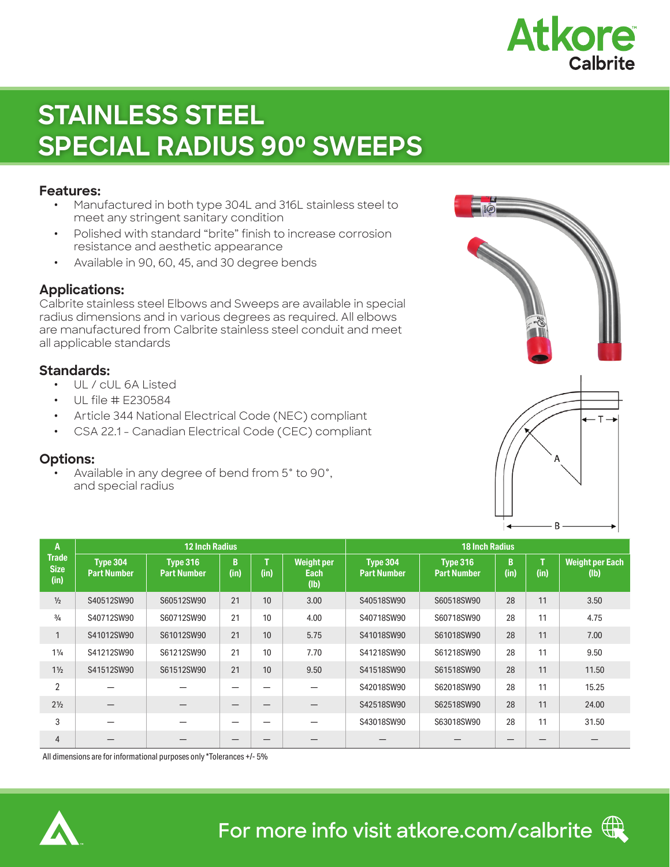

# **STAINLESS STEEL SPECIAL RADIUS 90⁰ SWEEPS**

#### **Features:**

- **ꞏ** Manufactured in both type 304L and 316L stainless steel to meet any stringent sanitary condition
- **ꞏ** Polished with standard "brite" finish to increase corrosion resistance and aesthetic appearance
- **ꞏ** Available in 90, 60, 45, and 30 degree bends

### **Applications:**

Calbrite stainless steel Elbows and Sweeps are available in special radius dimensions and in various degrees as required. All elbows are manufactured from Calbrite stainless steel conduit and meet all applicable standards

### **Standards:**

- **ꞏ** UL / cUL 6A Listed
- **ꞏ** UL file # E230584
- **ꞏ** Article 344 National Electrical Code (NEC) compliant
- **ꞏ** CSA 22.1 Canadian Electrical Code (CEC) compliant

## **Options:**

Available in any degree of bend from 5° to 90°, and special radius





| A<br><b>Trade</b><br><b>Size</b><br>(in) |                                | <b>12 Inch Radius</b>                 |           | <b>18 Inch Radius</b> |                                   |                                       |                                |           |           |                                |
|------------------------------------------|--------------------------------|---------------------------------------|-----------|-----------------------|-----------------------------------|---------------------------------------|--------------------------------|-----------|-----------|--------------------------------|
|                                          | Type 304<br><b>Part Number</b> | <b>Type 316</b><br><b>Part Number</b> | B<br>(in) | (in)                  | <b>Weight per</b><br>Each<br>(lb) | <b>Type 304</b><br><b>Part Number</b> | Type 316<br><b>Part Number</b> | B<br>(in) | т<br>(in) | <b>Weight per Each</b><br>(lb) |
| $\frac{1}{2}$                            | S40512SW90                     | S60512SW90                            | 21        | 10                    | 3.00                              | S40518SW90                            | S60518SW90                     | 28        | 11        | 3.50                           |
| $\frac{3}{4}$                            | S40712SW90                     | S60712SW90                            | 21        | 10                    | 4.00                              | S40718SW90                            | S60718SW90                     | 28        | 11        | 4.75                           |
| $\mathbf{1}$                             | S41012SW90                     | S61012SW90                            | 21        | 10                    | 5.75                              | S41018SW90                            | S61018SW90                     | 28        | 11        | 7.00                           |
| $1\frac{1}{4}$                           | S41212SW90                     | S61212SW90                            | 21        | 10                    | 7.70                              | S41218SW90                            | S61218SW90                     | 28        | 11        | 9.50                           |
| $1\frac{1}{2}$                           | S41512SW90                     | S61512SW90                            | 21        | 10                    | 9.50                              | S41518SW90                            | S61518SW90                     | 28        | 11        | 11.50                          |
| $\overline{2}$                           |                                |                                       |           |                       |                                   | S42018SW90                            | S62018SW90                     | 28        | 11        | 15.25                          |
| $2\frac{1}{2}$                           |                                |                                       |           |                       |                                   | S42518SW90                            | S62518SW90                     | 28        | 11        | 24.00                          |
| 3                                        |                                |                                       | -         | –                     | -                                 | S43018SW90                            | S63018SW90                     | 28        | 11        | 31.50                          |
| $\overline{4}$                           |                                |                                       | –         |                       |                                   |                                       |                                |           |           |                                |

All dimensions are for informational purposes only \*Tolerances +/- 5%